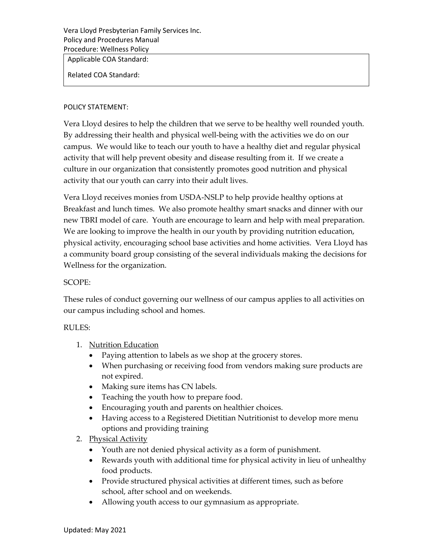Vera Lloyd Presbyterian Family Services Inc. Policy and Procedures Manual Procedure: Wellness Policy

Applicable COA Standard:

Related COA Standard:

## POLICY STATEMENT:

Vera Lloyd desires to help the children that we serve to be healthy well rounded youth. By addressing their health and physical well‐being with the activities we do on our campus. We would like to teach our youth to have a healthy diet and regular physical activity that will help prevent obesity and disease resulting from it. If we create a culture in our organization that consistently promotes good nutrition and physical activity that our youth can carry into their adult lives.

Vera Lloyd receives monies from USDA‐NSLP to help provide healthy options at Breakfast and lunch times. We also promote healthy smart snacks and dinner with our new TBRI model of care. Youth are encourage to learn and help with meal preparation. We are looking to improve the health in our youth by providing nutrition education, physical activity, encouraging school base activities and home activities. Vera Lloyd has a community board group consisting of the several individuals making the decisions for Wellness for the organization.

## SCOPE:

These rules of conduct governing our wellness of our campus applies to all activities on our campus including school and homes.

## RULES:

- 1. Nutrition Education
	- Paying attention to labels as we shop at the grocery stores.
	- When purchasing or receiving food from vendors making sure products are not expired.
	- Making sure items has CN labels.
	- Teaching the youth how to prepare food.
	- Encouraging youth and parents on healthier choices.
	- Having access to a Registered Dietitian Nutritionist to develop more menu options and providing training
- 2. Physical Activity
	- Youth are not denied physical activity as a form of punishment.
	- Rewards youth with additional time for physical activity in lieu of unhealthy food products.
	- Provide structured physical activities at different times, such as before school, after school and on weekends.
	- Allowing youth access to our gymnasium as appropriate.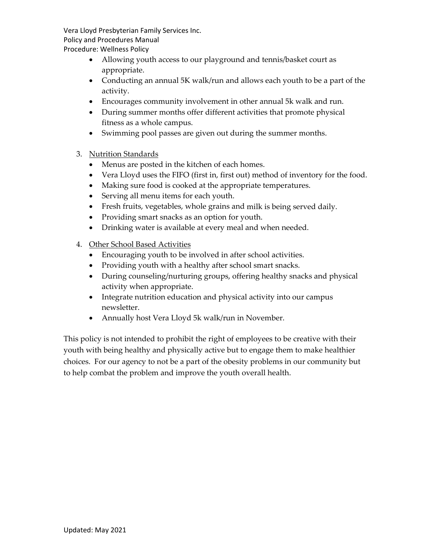Vera Lloyd Presbyterian Family Services Inc. Policy and Procedures Manual

Procedure: Wellness Policy

- Allowing youth access to our playground and tennis/basket court as appropriate.
- Conducting an annual 5K walk/run and allows each youth to be a part of the activity.
- Encourages community involvement in other annual 5k walk and run.
- During summer months offer different activities that promote physical fitness as a whole campus.
- Swimming pool passes are given out during the summer months.
- 3. Nutrition Standards
	- Menus are posted in the kitchen of each homes.
	- Vera Lloyd uses the FIFO (first in, first out) method of inventory for the food.
	- Making sure food is cooked at the appropriate temperatures.
	- Serving all menu items for each youth.
	- Fresh fruits, vegetables, whole grains and milk is being served daily.
	- Providing smart snacks as an option for youth.
	- Drinking water is available at every meal and when needed.
- 4. Other School Based Activities
	- Encouraging youth to be involved in after school activities.
	- Providing youth with a healthy after school smart snacks.
	- During counseling/nurturing groups, offering healthy snacks and physical activity when appropriate.
	- Integrate nutrition education and physical activity into our campus newsletter.
	- Annually host Vera Lloyd 5k walk/run in November.

This policy is not intended to prohibit the right of employees to be creative with their youth with being healthy and physically active but to engage them to make healthier choices. For our agency to not be a part of the obesity problems in our community but to help combat the problem and improve the youth overall health.